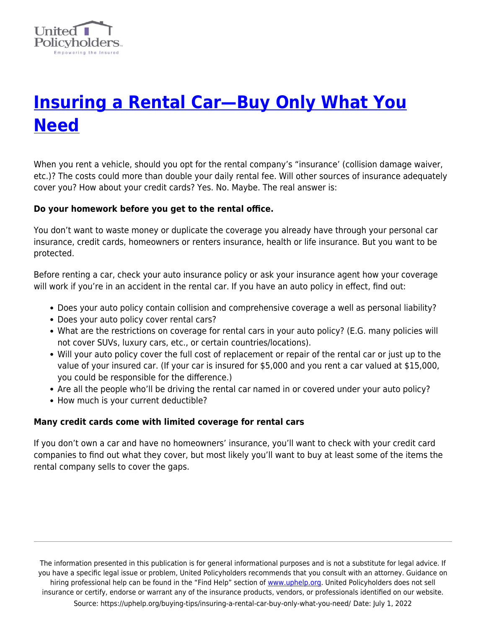

# **[Insuring a Rental Car—Buy Only What You](https://uphelp.org/buying-tips/insuring-a-rental-car-buy-only-what-you-need/) [Need](https://uphelp.org/buying-tips/insuring-a-rental-car-buy-only-what-you-need/)**

When you rent a vehicle, should you opt for the rental company's "insurance' (collision damage waiver, etc.)? The costs could more than double your daily rental fee. Will other sources of insurance adequately cover you? How about your credit cards? Yes. No. Maybe. The real answer is:

## **Do your homework before you get to the rental office.**

You don't want to waste money or duplicate the coverage you already have through your personal car insurance, credit cards, homeowners or renters insurance, health or life insurance. But you want to be protected.

Before renting a car, check your auto insurance policy or ask your insurance agent how your coverage will work if you're in an accident in the rental car. If you have an auto policy in effect, find out:

- Does your auto policy contain collision and comprehensive coverage a well as personal liability?
- Does your auto policy cover rental cars?
- What are the restrictions on coverage for rental cars in your auto policy? (E.G. many policies will not cover SUVs, luxury cars, etc., or certain countries/locations).
- Will your auto policy cover the full cost of replacement or repair of the rental car or just up to the value of your insured car. (If your car is insured for \$5,000 and you rent a car valued at \$15,000, you could be responsible for the difference.)
- Are all the people who'll be driving the rental car named in or covered under your auto policy?
- How much is your current deductible?

#### **Many credit cards come with limited coverage for rental cars**

If you don't own a car and have no homeowners' insurance, you'll want to check with your credit card companies to find out what they cover, but most likely you'll want to buy at least some of the items the rental company sells to cover the gaps.

The information presented in this publication is for general informational purposes and is not a substitute for legal advice. If you have a specific legal issue or problem, United Policyholders recommends that you consult with an attorney. Guidance on hiring professional help can be found in the "Find Help" section of [www.uphelp.org.](http://www.uphelp.org/) United Policyholders does not sell insurance or certify, endorse or warrant any of the insurance products, vendors, or professionals identified on our website. Source: https://uphelp.org/buying-tips/insuring-a-rental-car-buy-only-what-you-need/ Date: July 1, 2022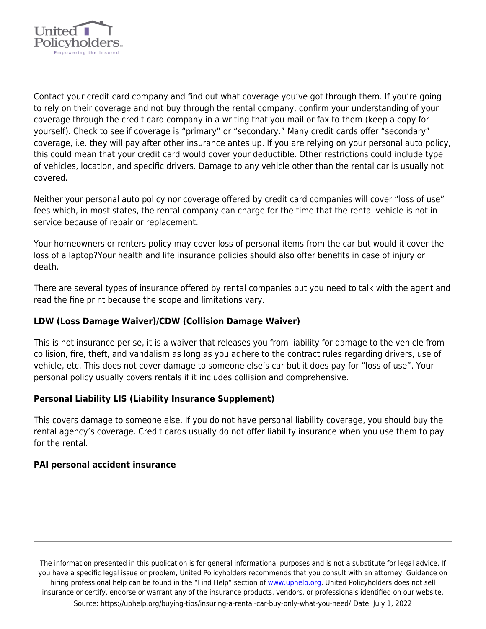

Contact your credit card company and find out what coverage you've got through them. If you're going to rely on their coverage and not buy through the rental company, confirm your understanding of your coverage through the credit card company in a writing that you mail or fax to them (keep a copy for yourself). Check to see if coverage is "primary" or "secondary." Many credit cards offer "secondary" coverage, i.e. they will pay after other insurance antes up. If you are relying on your personal auto policy, this could mean that your credit card would cover your deductible. Other restrictions could include type of vehicles, location, and specific drivers. Damage to any vehicle other than the rental car is usually not covered.

Neither your personal auto policy nor coverage offered by credit card companies will cover "loss of use" fees which, in most states, the rental company can charge for the time that the rental vehicle is not in service because of repair or replacement.

Your homeowners or renters policy may cover loss of personal items from the car but would it cover the loss of a laptop?Your health and life insurance policies should also offer benefits in case of injury or death.

There are several types of insurance offered by rental companies but you need to talk with the agent and read the fine print because the scope and limitations vary.

# **LDW (Loss Damage Waiver)/CDW (Collision Damage Waiver)**

This is not insurance per se, it is a waiver that releases you from liability for damage to the vehicle from collision, fire, theft, and vandalism as long as you adhere to the contract rules regarding drivers, use of vehicle, etc. This does not cover damage to someone else's car but it does pay for "loss of use". Your personal policy usually covers rentals if it includes collision and comprehensive.

#### **Personal Liability LIS (Liability Insurance Supplement)**

This covers damage to someone else. If you do not have personal liability coverage, you should buy the rental agency's coverage. Credit cards usually do not offer liability insurance when you use them to pay for the rental.

#### **PAI personal accident insurance**

The information presented in this publication is for general informational purposes and is not a substitute for legal advice. If you have a specific legal issue or problem, United Policyholders recommends that you consult with an attorney. Guidance on hiring professional help can be found in the "Find Help" section of [www.uphelp.org.](http://www.uphelp.org/) United Policyholders does not sell insurance or certify, endorse or warrant any of the insurance products, vendors, or professionals identified on our website. Source: https://uphelp.org/buying-tips/insuring-a-rental-car-buy-only-what-you-need/ Date: July 1, 2022